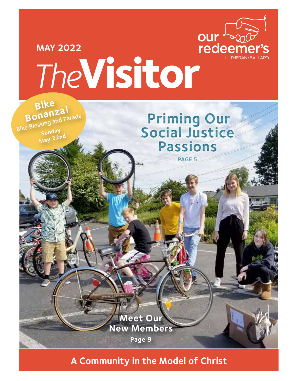

# **MAY 2022** MAY 2022<br>
The **Visitor**<br>
Bike

**Bonanza!**<br>Bike Blessing and Parade **Sunday May 22nd**

**Priming Our Social Justice Passions PAGE 5**

**A Community in the Model of Christ**

**Meet Our New Members**

**Page 9**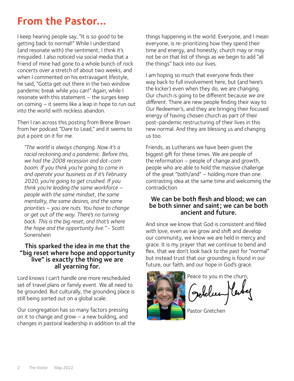# **From the Pastor...**

I keep hearing people say, "It is so good to be getting back to normal!" While I understand (and resonate with) the sentiment, I think it's misguided. I also noticed via social media that a friend of mine had gone to a whole bunch of rock concerts over a stretch of about two weeks, and when I commented on his extravagant lifestyle, he said, "Gotta get out there in the two window pandemic break while you can!" Again, while I resonate with this statement – the surges keep on coming – it seems like a leap in hope to run out into the world with reckless abandon.

Then I ran across this posting from Brene Brown from her podcast "Dare to Lead," and it seems to put a point on it for me.

*"The world is always changing. Now it's a racial reckoning and a pandemic. Before this, we had the 2008 recession and dot-com boom. If you think you're going to come in and operate your business as if it's February 2020, you're going to get crushed. If you think you're leading the same workforce – people with the same mindset, the same mentality, the same desires, and the same priorities – you are nuts. You have to change or get out of the way. There's no turning back. This is the big reset, and that's where the hope and the opportunity live."* - Scott Sonenshein

#### This sparked the idea in me that the "big reset where hope and opportunity live" is exactly the thing we are all yearning for.

Lord knows I can't handle one more rescheduled set of travel plans or family event. We all need to be grounded. But culturally, the grounding place is still being sorted out on a global scale.

Our congregation has so many factors pressing on it to change and grow – a new building, and changes in pastoral leadership in addition to all the things happening in the world. Everyone, and I mean everyone, is re-prioritizing how they spend their time and energy, and honestly, church may or may not be on that list of things as we begin to add "all the things" back into our lives.

I am hoping so much that everyone finds their way back to full involvement here, but (and here's the kicker) even when they do, we are changing. Our church is going to be different because *we are different.* There are new people finding their way to Our Redeemer's, and they are bringing their focused energy of having chosen church as part of their post-pandemic restructuring of their lives in this new normal. And they are blessing us and changing us too.

Friends, as Lutherans we have been given the biggest gift for these times. We are people of the reformation – people of change and growth, people who are able to hold the massive challenge of the great "both/and" – holding more than one contrasting idea at the same time and welcoming the contradiction.

#### We can be both flesh and blood; we can be both sinner and saint; we can be both ancient and future.

And since we know that God is consistent and filled with love, even as we grow and shift and develop our community, we know we are held in mercy and grace. It is my prayer that we continue to bend and flex, that we don't look back to the past for "normal" but instead trust that our grounding is found in our future, our faith, and our hope in God's grace.



Peace to you in the churn,

Pastor Gretchen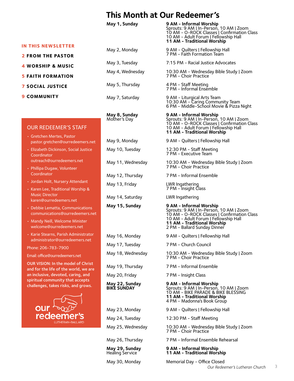# **This Month at Our Redeemer's**

#### **IN THIS NEWSLETTER**

- **2 FROM THE PASTOR**
- **4 WORSHIP & MUSIC**
- **5 FAITH FORMATION**
- **7 SOCIAL JUSTICE**
- **9 COMMUNITY**

#### OUR REDEEMER'S STAFF

- Gretchen Mertes, Pastor pastor.gretchen@ourredeemers.net
- Elizabeth Dickinson, Social Justice **Coordinator** outreach@ourredeemers.net
- Phillipa Dugaw, Volunteer Coordinator
- Jordan Holt, Nursery Attendant
- Karen Lee, Traditional Worship & Music Director karen@ourredeemers.net
- Debbie Lematta, Communications communications@ourredeemers.net
- Mandy Neill, Welcome Minister welcome@ourredeemers.net
- Karie Stearns, Parish Administrator administrator@ourredeemers.net

Phone: 206-783-7900

Email: [office@ourredeemers.net](mailto:office@ourredeemers.net)

OUR VISION: In the model of Christ and for the life of the world, we are an inclusive, devoted, caring, and spiritual community that accepts challenges, takes risks, and grows.



- 
- 

May 13, Friday LWR Ingathering May 14, Saturday LWR Ingathering **May 15, Sunday 9 AM - Informal Worship** May 20, Friday 7 PM - Insight Class

**May 1, Sunday 9 AM - Informal Worship** Sprouts: 9 AM | In-Person, 10 AM | Zoom 10 AM - O-ROCK Classes | Confirmation Class 10 AM - Adult Forum | Fellowship Hall **11 AM - Traditional Worship**  May 2, Monday 9 AM - Quilters | Fellowship Hall 7 PM - Faith Formation Team May 3, Tuesday 7:15 PM - Racial Justice Advocates May 4, Wednesday 10:30 AM - Wednesday Bible Study | Zoom 7 PM - Choir Practice May 5, Thursday 4 PM - Staff Meeting 7 PM - Informal Ensemble May 7, Saturday 9 AM - Liturgical Arts Team 10:30 AM - Caring Community Team 6 PM - Middle-School Movie & Pizza Night **May 8, Sunday 9 AM - Informal Worship** Mother's Day Sprouts: 9 AM | In-Person, 10 AM | Zoom 10 AM - O-ROCK Classes | Confirmation Class 10 AM - Adult Forum | Fellowship Hall **11 AM - Traditional Worship**  May 9, Monday 9 AM - Quilters | Fellowship Hall May 10, Tuesday 12:30 PM - Staff Meeting 7 PM - Executive Team May 11, Wednesday 10:30 AM - Wednesday Bible Study | Zoom 7 PM - Choir Practice May 12, Thursday 7 PM - Informal Ensemble 7 PM - Insight Class

Sprouts: 9 AM | In-Person, 10 AM | Zoom 10 AM - O-ROCK Classes | Confirmation Class 10 AM - Adult Forum | Fellowship Hall **11 AM - Traditional Worship**  2 PM - Ballard Sunday Dinner

- May 16, Monday 9 AM Quilters | Fellowship Hall
- May 17, Tuesday 7 PM Church Council

May 18, Wednesday 10:30 AM - Wednesday Bible Study | Zoom 7 PM - Choir Practice

- May 19, Thursday 7 PM Informal Ensemble
	-

**May 22, Sunday 9 AM - Informal Worship** Sprouts: 9 AM | In-Person, 10 AM | Zoom 10 AM - BIKE PARADE & BIKE BLESSING **11 AM - Traditional Worship**  4 PM - Madonna's Book Group

May 23, Monday 9 AM - Quilters | Fellowship Hall

May 24, Tuesday 12:30 PM - Staff Meeting

May 25, Wednesday 10:30 AM - Wednesday Bible Study | Zoom 7 PM - Choir Practice

May 26, Thursday 7 PM - Informal Ensemble Rehearsal

**May 29, Sunday 9 AM - Informal Worship** Healing Service **11 AM - Traditional Worship** 

May 30, Monday Memorial Day - Office Closed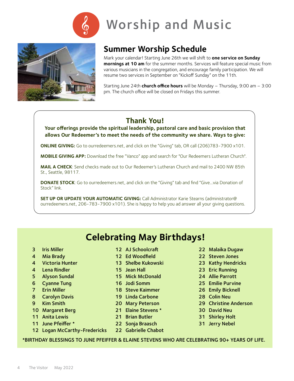

# Worship and Music



# **Summer Worship Schedule**

Mark your calendar! Starting June 26th we will shift to **one service on Sunday mornings at 10 am** for the summer months. Services will feature special music from various musicians in the congregation, and encourage family participation. We will resume two services in September on "Kickoff Sunday" on the 11th.

Starting June 24th **church office hours** will be Monday – Thursday, 9:00 am – 3:00 pm. The church office will be closed on Fridays this summer.

# **Thank You!**

**Your offerings provide the spiritual leadership, pastoral care and basic provision that allows Our Redeemer's to meet the needs of the community we share. Ways to give:**

**ONLINE GIVING:** Go to ourredeemers.net, and click on the "Giving" tab, OR call (206)783-7900 x101.

**MOBILE GIVING APP:** Download the free "Vanco" app and search for "Our Redeemers Lutheran Church".

**MAIL A CHECK**: Send checks made out to Our Redeemer's Lutheran Church and mail to 2400 NW 85th St., Seattle, 98117.

**DONATE STOCK**: Go to ourredeemers.net, and click on the "Giving" tab and find "Give...via Donation of Stock" link.

**SET UP OR UPDATE YOUR AUTOMATIC GIVING:** Call Administrator Karie Stearns (administrator@ ourredeemers.net, 206-783-7900 x101). She is happy to help you ad answer all your giving questions.

# **Celebrating May Birthdays!**

- 3 Iris Miller
- 4 Mia Brady
- 4 Victoria Hunter
- 4 Lena Rindler
- 5 Alyson Sundal
- 6 Cyanne Tung
- 7 Erin Miller
- 8 Carolyn Davis
- 9 Kim Smith
- 10 Margaret Berg
- 11 Anita Lewis
- 11 June Pfeiffer \*
- 12 AJ Schoolcraft
- 12 Ed Woodfield
- 13 Shelbe Kukowski
- 15 Jean Hall
- 15 Mick McDonald
- 16 Jodi Somm
- 18 Steve Kaimmer
- 19 Linda Carbone
- 20 Mary Peterson
- 21 Elaine Stevens \*
- 21 Brian Butler
- 12 Logan McCarthy-Fredericks
- 22 Sonja Braasch 22 Gabrielle Chabot

#### 22 Malaika Dugaw

- 22 Steven Jones
- 23 Kathy Hendricks
- 23 Eric Running
- 24 Allie Parrott
- 25 Emilie Purvine
- 26 Emily Bicknell
- 28 Colin Neu
- 29 Christine Anderson
- 30 David Neu
- 31 Shirley Holt
- 31 Jerry Nebel

\*BIRTHDAY BLESSINGS TO JUNE PFEIFFER & ELAINE STEVENS WHO ARE CELEBRATING 90+ YEARS OF LIFE.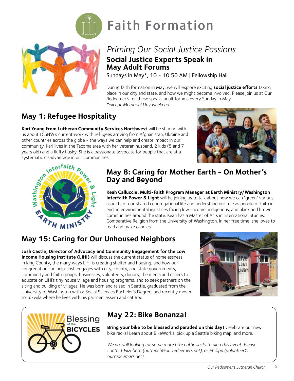

# Faith Formation

# *Priming Our Social Justice Passions*  **Social Justice Experts Speak in May Adult Forums**

Sundays in May\*, 10 - 10:50 AM | Fellowship Hall

During faith formation in May, we will explore exciting **social justice efforts** taking place in our city and state, and how we might become involved. Please join us at Our Redeemer's for these special adult forums every Sunday in May.

#### *\*except Memorial Day weekend*

# **May 1: Refugee Hospitality**

**Kari Young from Lutheran Community Services Northwest** will be sharing with us about LCSNW's current work with refugees arriving from Afghanistan, Ukraine and other countries across the globe - the ways we can help and create impact in our years old) and a fluffy husky. She is a passionate advocate for people that are at a systematic disadvantage in our communities.





## **May 8: Caring for Mother Earth - On Mother's Day and Beyond**

**Keah Calluccie, Multi-Faith Program Manager at Earth Ministry/Washington Interfaith Power & Light** will be joining us to talk about how we can "green" various aspects of our shared congregational life and understand our role as people of faith in ending environmental injustices facing low-income, indigenous, and black and brown communities around the state. Keah has a Master of Arts in International Studies: Comparative Religion from the University of Washington. In her free time, she loves to read and make candles.

# **May 15: Caring for Our Unhoused Neighbors**

**Josh Castle, Director of Advocacy and Community Engagement for the Low Income Housing Institute (LIHI)** will discuss the current status of homelessness in King County, the many ways LIHI is creating shelter and housing, and how our congregation can help. Josh engages with city, county, and state governments, community and faith groups, businesses, volunteers, donors, the media and others to educate on LIHI's tiny house village and housing programs, and to seek partners on the siting and building of villages. He was born and raised in Seattle, graduated from the University of Washington with a Social Sciences Bachelor's Degree, and recently moved to Tukwila where he lives with his partner Jassem and cat Boo.





# **May 22: Bike Bonanza!**

**Bring your bike to be blessed and paraded on this day!** Celebrate our new bike racks! Learn about BikeWorks, pick up a Seattle biking map, and more.

*We are still looking for some more bike enthusiasts to plan this event. Please contact Elizabeth [\(outreach@ourredeemers.net\)](mailto:outreach%40ourredeemers.net?subject=), or Phillipa ([volunteer@](mailto:volunteer%40ourredeemers.net?subject=) [ourredeemers.net\)](mailto:volunteer%40ourredeemers.net?subject=).*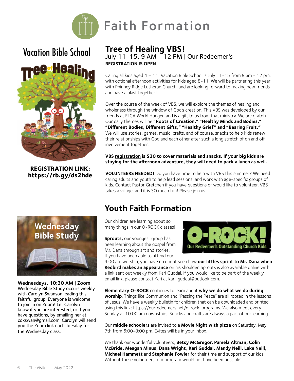

# Vacation Bible School



**REGISTRATION LINK: <https://rb.gy/ds2hde>**



Wednesdays, 10:30 AM | Zoom Wednesday Bible Study occurs weekly with Carolyn Swanson leading this faithful group. Everyone is welcome to join in on Zoom! Let Carolyn know if you are interested, or if you have questions, by emailing her at cdkswan@gmail.com. Carolyn will send you the Zoom link each Tuesday for the Wednesday class.

#### **Tree of Healing VBS!** July 11-15, 9 AM - 12 PM | Our Redeemer's **[REGISTR](https://rb.gy/ds2hde)ATION IS OPEN**

Faith Formation

Calling all kids aged 4 – 11! Vacation Bible School is July 11-15 from 9 am - 12 pm, with optional afternoon activities for kids aged 8-11. We will be partnering this year with Phinney Ridge Lutheran Church, and are looking forward to making new friends and have a blast together!

Over the course of the week of VBS, we will explore the themes of healing and wholeness through the window of God's creation. This VBS was developed by our friends at ELCA World Hunger, and is a gift to us from that ministry. We are grateful! Our daily themes will be **"Roots of Creation," "Healthy Minds and Bodies," "Different Bodies, Different Gifts," "Healthy Grief" and "Bearing Fruit."**  We will use stories, games, music, crafts, and of course, snacks to help kids renew their relationships with God and each other after such a long stretch of on and off involvement together.

#### **VBS [registration](https://rb.gy/ds2hde) is \$30 to cover materials and snacks. If your big kids are staying for the afternoon adventure, they will need to pack a lunch as well.**

**VOLUNTEERS NEEDED!** Do you have time to help with VBS this summer? We need caring adults and youth to help lead sessions, and work with age-specific groups of kids. Contact Pastor Gretchen if you have questions or would like to volunteer. VBS takes a village, and it is SO much fun! Please join us.

# **Youth Faith Formation**

Our children are learning about so many things in our O-ROCK classes!

**Sprouts,** our youngest group has been learning about the gospel from Mr. Dana through art and stories. If you have been able to attend our



9:00 am worship, you have no doubt seen how **our littles sprint to Mr. Dana when Redbird makes an appearance** on his shoulder. Sprouts is also available online with a link sent out weekly from Kari Guddal. If you would like to be part of the weekly email link, please contact Kari at [kari\\_guddal@outlook.com](mailto:kari_guddal%40outlook.com?subject=).

**Elementary O-ROCK** continues to learn about **why we do what we do during worship**. Things like Communion and "Passing the Peace" are all rooted in the lessons of Jesus. We have a weekly bulletin for children that can be downloaded and printed using this link: [https://ourredeemers.net/o-rock-programs.](https://ourredeemers.net/o-rock-programs/) We also meet every Sunday at 10:00 am downstairs. Snacks and crafts are always a part of our learning.

Our **middle schoolers** are invited to a **Movie Night with pizza** on Saturday, May 7th from 6:00-8:00 pm. Evites will be in your inbox.

We thank our wonderful volunteers, **Betsy McGregor, Pamela Altman, Colin McBride, Meagan Minus, Dana Wright, Kari Guddal, Mandy Neill, Lake Neill, Michael Hammett** and **Stephanie Fowler** for their time and support of our kids. Without these volunteers, our program would not have been possible!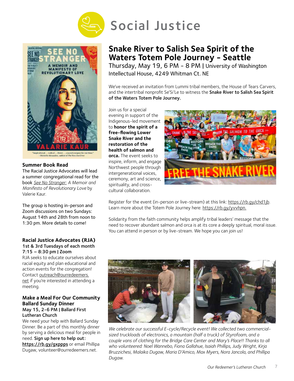



#### **Summer Book Read**

The Racial Justice Advocates will lead a summer congregational read for the book *[See No Stranger: A Memoir and](https://valariekaur.com/see-no-stranger/)  [Manifesto of Revolutionary Love](https://valariekaur.com/see-no-stranger/)* by [Valerie Kaur.](https://valariekaur.com/see-no-stranger/) 

The group is hosting in-person and Zoom discussions on two Sundays: August 14th and 28th from noon to 1:30 pm. More details to come!

#### **Racial Justice Advocates (RJA)**  1st & 3rd Tuesdays of each month 7:15 – 8:30 pm | Zoom

RJA seeks to educate ourselves about racial equity and plan educational and action events for the congregation! Contact [outreach@ourredeemers.](mailto:outreach%40ourredeemers.net?subject=) [net](mailto:outreach%40ourredeemers.net?subject=) if you're interested in attending a meeting.

#### **Make a Meal For Our Community Ballard Sunday Dinner** May 15, 2-6 PM | Ballard First Lutheran Church

We need your help with Ballard Sunday Dinner. Be a part of this monthly dinner by serving a delicious meal for people in need. Sign up here to help out: https://rb.qy/qxppps or email Phillipa Dugaw, [volunteer@ourredeemers.net](mailto:volunteer%40ourredeemers.net?subject=).

# **Snake River to Salish Sea Spirit of the Waters Totem Pole Journey - Seattle**

Thursday, May 19, 6 PM - 8 PM | University of Washington Intellectual House, 4249 Whitman Ct. NE

We've received an invitation from Lummi tribal members, the House of Tears Carvers, and the intertribal nonprofit Se'Si'Le to witness the Snake River to Salish Sea Spirit of the Waters Totem Pole Journey.

Join us for a special evening in support of the Indigenous-led movement to **honor the spirit of a free-flowing Lower Snake River and the restoration of the health of salmon and orca.** The event seeks to inspire, inform, and engage Northwest people through intergenerational voices, ceremony, art and science, spirituality, and crosscultural collaboration.



Register for the event (in-person or live-stream) at this link: [https://rb.gy/chd1jb.](https://rb.gy/chd1jb) Learn more about the Totem Pole Journey here: [https://rb.gy/yvvhpn.](https://rb.gy/yvvhpn)

Solidarity from the faith community helps amplify tribal leaders' message that the need to recover abundant salmon and orca is at its core a deeply spiritual, moral issue. You can attend in person or by live-stream. We hope you can join us!



*We celebrate our successful E-cycle/Recycle event! We collected two commercialsized truckloads of electronics, a mountain (half a truck) of Styrofoam, and a couple vans of clothing for the Bridge Care Center and Mary's Place!! Thanks to all who volunteered: Noel Wannebo, Fiona Gallahue, Isaiah Phillips, Judy Wright, Kirja Bruzzichesi, Malaika Dugaw, Maria D'Amico, Max Myers, Nora Jancola, and Phillipa Dugaw.*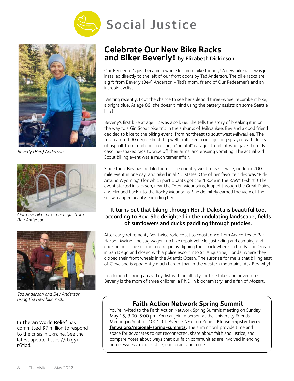



*Beverly (Bev) Anderson*



*Our new bike racks are a gift from Bev Anderson.* 



*Tad Anderson and Bev Anderson using the new bike rack.* 

#### Lutheran World Relief has

committed \$7 million to respond to the crisis in Ukraine. See the latest update: [https://rb.gy/](https://rb.gy/r6fldd) [r6fldd.](https://rb.gy/r6fldd)

# **Celebrate Our New Bike Racks and Biker Beverly!** by Elizabeth Dickinson

Our Redeemer's just became a whole lot more bike friendly! A new bike rack was just installed directly to the left of our front doors by Tad Anderson. The bike racks are a gift from Beverly (Bev) Anderson - Tad's mom, friend of Our Redeemer's and an intrepid cyclist.

 Visiting recently, I got the chance to see her splendid three-wheel recumbent bike, a bright blue. At age 89, she doesn't mind using the battery assists on some Seattle hills!

Beverly's first bike at age 12 was also blue. She tells the story of breaking it in on the way to a Girl Scout bike trip in the suburbs of Milwaukee. Bev and a good friend decided to bike to the biking event, from northeast to southwest Milwaukee. The trip featured 90 degree heat, big well-trafficked roads, getting sprayed with flecks of asphalt from road construction, a "helpful" garage attendant who gave the girls gasoline-soaked rags to wipe off their arms, and ensuing vomiting. The actual Girl Scout biking event was a much tamer affair.

Since then, Bev has pedaled across the country west to east twice, ridden a 200 mile event in one day, and biked in all 50 states. One of her favorite rides was "Ride Around Wyoming" (for which participants got the "I Rode in the RAW" t-shirt)! The event started in Jackson, near the Teton Mountains, looped through the Great Plains, and climbed back into the Rocky Mountains. She definitely earned the view of the snow-capped beauty encircling her.

#### It turns out that biking through North Dakota is beautiful too, according to Bev. She delighted in the undulating landscape, fields of sunflowers and ducks paddling through puddles.

After early retirement, Bev twice rode coast to coast, once from Anacortes to Bar Harbor, Maine - no sag wagon, no bike repair vehicle, just riding and camping and cooking out. The second trip began by dipping their back wheels in the Pacific Ocean in San Diego and closed with a police escort into St. Augustine, Florida, where they dipped their front wheels in the Atlantic Ocean. The surprise for me is that biking east of Cleveland is apparently much harder than in the western mountains. Ask Bev why!

In addition to being an avid cyclist with an affinity for blue bikes and adventure, Beverly is the mom of three children, a Ph.D. in biochemistry, and a fan of Mozart.

## **Faith Action Network Spring Summit**

You're invited to the Faith Action Network Spring Summit meeting on Sunday, May 15, 3:00-5:00 pm. You can join in person at the University Friends Meeting in Seattle, 4001 9th Avenue NE or on Zoom. Please register here: [fanwa.org/regional-spring-summits.](http://fanwa.org/regional-spring-summits) The summit will provide time and space for advocates to get reconnected, share about faith and justice, and compare notes about ways that our faith communities are involved in ending homelessness, racial justice, earth care and more.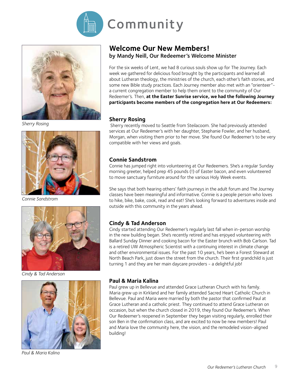



*Sherry Rosing*



*Connie Sandstrom*



*Cindy & Tad Anderson*



*Paul & Maria Kalina*

### **Welcome Our New Members!** by Mandy Neill, Our Redeemer's Welcome Minister

For the six weeks of Lent, we had 8 curious souls show up for The Journey. Each week we gathered for delicious food brought by the participants and learned all about Lutheran theology, the ministries of the church, each other's faith stories, and some new Bible study practices. Each Journey member also met with an "orienteer" a current congregation member to help them orient to the community of Our Redeemer's. Then, **at the Easter Sunrise service, we had the following Journey participants become members of the congregation here at Our Redeemers:**

#### **Sherry Rosing**

 Sherry recently moved to Seattle from Steilacoom. She had previously attended services at Our Redeemer's with her daughter, Stephanie Fowler, and her husband, Morgan, when visiting them prior to her move. She found Our Redeemer's to be very compatible with her views and goals.

#### **Connie Sandstrom**

Connie has jumped right into volunteering at Our Redeemers. She's a regular Sunday morning greeter, helped prep 45 pounds (!) of Easter bacon, and even volunteered to move sanctuary furniture around for the various Holy Week events.

She says that both hearing others' faith journeys in the adult forum and The Journey classes have been meaningful and informative. Connie is a people person who loves to hike, bike, bake, cook, read and eat! She's looking forward to adventures inside and outside with this community in the years ahead.

#### **Cindy & Tad Anderson**

Cindy started attending Our Redeemer's regularly last fall when in-person worship in the new building began. She's recently retired and has enjoyed volunteering with Ballard Sunday Dinner and cooking bacon for the Easter brunch with Bob Carlson. Tad is a retired UW Atmospheric Scientist with a continuing interest in climate change and other environmental issues. For the past 10 years, he's been a Forest Steward at North Beach Park, just down the street from the church. Their first grandchild is just turning 1 and they are her main daycare providers - a delightful job!

#### **Paul & Maria Kalina**

Paul grew up in Bellevue and attended Grace Lutheran Church with his family. Maria grew up in Kirkland and her family attended Sacred Heart Catholic Church in Bellevue. Paul and Maria were married by both the pastor that confirmed Paul at Grace Lutheran and a catholic priest. They continued to attend Grace Lutheran on occasion, but when the church closed in 2019, they found Our Redeemer's. When Our Redeemer's reopened in September they began visiting regularly, enrolled their son Ben in the confirmation class, and are excited to now be new members! Paul and Maria love the community here, the vision, and the remodeled vision-aligned building!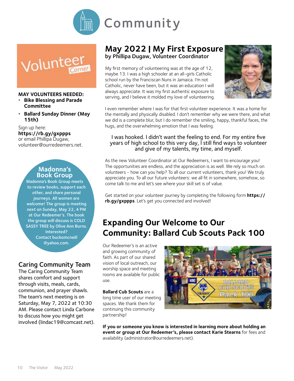



#### **MAY VOLUNTEERS NEEDED:**

- *•*  **Bike Blessing and Parade Committee**
- *•*  **Ballard Sunday Dinner (May 15th)**

Sign up here:

**https://rb.gy/gxppps**  or email Phillipa Dugaw, [volunteer@ourredeemers.net](mailto:volunteer%40ourredeemers.net?subject=).

#### **Madonna's Book Group**

Madonna's Book Group meets to review books, support each other, and share personal journeys. All women are welcome! The group is meeting next on Sunday, May 22, 4 PM at Our Redeemer's. The book the group will discuss is COLD SASSY TREE by Olive Ann Burns. Interested? Contact buckomcneill @yahoo.com.

## Caring Community Team

The Caring Community Team shares comfort and support through visits, meals, cards, communion, and prayer shawls. The team's next meeting is on Saturday, May 7, 2022 at 10:30 AM. Please contact Linda Carbone to discuss how you might get involved [\(lindac19@comcast.net](mailto:lindac19%40comcast.net?subject=)).

## **May 2022 | My First Exposure** by Phillipa Dugaw, Volunteer Coordinator

My first memory of volunteering was at the age of 12, maybe 13. I was a high schooler at an all-girls Catholic school run by the Franciscan Nuns in Jamaica. I'm not Catholic, never have been, but it was an education I will always appreciate. It was my first authentic exposure to serving, and I believe it molded my love of volunteering.



I even remember where I was for that first volunteer experience. It was a home for the mentally and physically disabled. I don't remember why we were there, and what we did is a complete blur, but I do remember the smiling, happy, thankful faces, the hugs, and the overwhelming emotion that I was feeling.

#### I was hooked. I didn't want the feeling to end. For my entire five years of high school to this very day, I still find ways to volunteer and give of my talents, my time, and myself.

As the new Volunteer Coordinator at Our Redeemers, I want to encourage you! The opportunities are endless, and the appreciation is as well. We rely so much on volunteers - how can you help? To all our current volunteers, thank you! We truly appreciate you. To all our future volunteers: we all fit in somewhere, somehow, so come talk to me and let's see where your skill set is of value.

Get started on your volunteer journey by completing the following form **[https://](mailto:https://rb.gy/gxppps?subject=) [rb.gy/gxppps](mailto:https://rb.gy/gxppps?subject=)**. Let's get you connected and involved!

# **Expanding Our Welcome to Our Community: Ballard Cub Scouts Pack 100**

Our Redeemer's is an active and growing community of faith. As part of our shared vision of local outreach, our worship space and meeting rooms are available for public use.

**Ballard Cub Scouts** are a

long time user of our meeting spaces. We thank them for continuing this community partnership!



**If you or someone you know is interested in learning more about holding an event or group at Our Redeemer's, please contact Karie Stearns** for fees and availability (administrator@ourredeemers.net).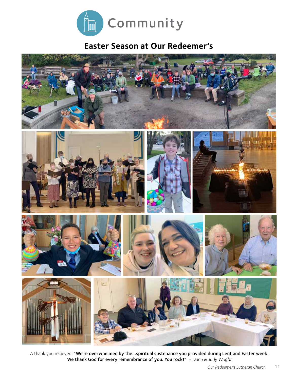

# **Easter Season at Our Redeemer's**



A thank you recieved: "We're overwhelmed by the...spiritual sustenance you provided during Lent and Easter week. We thank God for every remembrance of you. You rock!" *- Dana & Judy Wright*